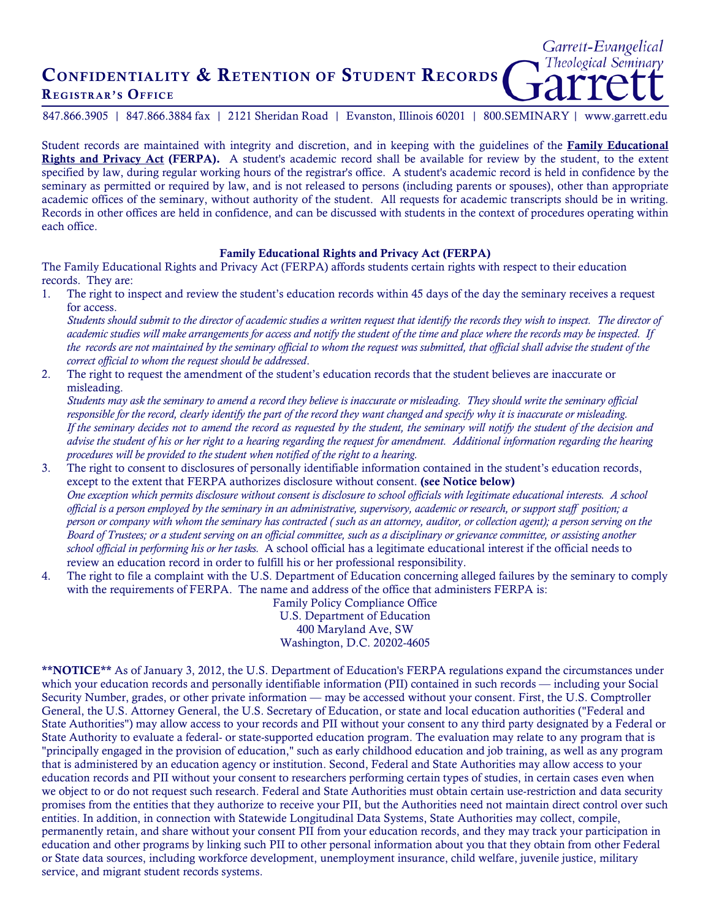## CONFIDENTIALITY & RETENTION OF STUDENT RECORDS REGISTRAR'S OFFICE

847.866.3905 | 847.866.3884 fax | 2121 Sheridan Road | Evanston, Illinois 60201 | 800.SEMINARY | www.garrett.edu

Garrett-Evangelical Theological Seminary

Student records are maintained with integrity and discretion, and in keeping with the guidelines of the Family Educational Rights and Privacy Act (FERPA). A student's academic record shall be available for review by the student, to the extent specified by law, during regular working hours of the registrar's office. A student's academic record is held in confidence by the seminary as permitted or required by law, and is not released to persons (including parents or spouses), other than appropriate academic offices of the seminary, without authority of the student. All requests for academic transcripts should be in writing. Records in other offices are held in confidence, and can be discussed with students in the context of procedures operating within each office.

## Family Educational Rights and Privacy Act (FERPA)

The Family Educational Rights and Privacy Act (FERPA) affords students certain rights with respect to their education records. They are:

1. The right to inspect and review the student's education records within 45 days of the day the seminary receives a request for access.

*Students should submit to the director of academic studies a written request that identify the records they wish to inspect. The director of academic studies will make arrangements for access and notify the student of the time and place where the records may be inspected. If the records are not maintained by the seminary official to whom the request was submitted, that official shall advise the student of the correct official to whom the request should be addressed*.

2. The right to request the amendment of the student's education records that the student believes are inaccurate or misleading.

*Students may ask the seminary to amend a record they believe is inaccurate or misleading. They should write the seminary official responsible for the record, clearly identify the part of the record they want changed and specify why it is inaccurate or misleading. If the seminary decides not to amend the record as requested by the student, the seminary will notify the student of the decision and advise the student of his or her right to a hearing regarding the request for amendment. Additional information regarding the hearing procedures will be provided to the student when notified of the right to a hearing.*

- 3. The right to consent to disclosures of personally identifiable information contained in the student's education records, except to the extent that FERPA authorizes disclosure without consent. (see Notice below) *One exception which permits disclosure without consent is disclosure to school officials with legitimate educational interests. A school official is a person employed by the seminary in an administrative, supervisory, academic or research, or support staff position; a person or company with whom the seminary has contracted ( such as an attorney, auditor, or collection agent); a person serving on the Board of Trustees; or a student serving on an official committee, such as a disciplinary or grievance committee, or assisting another school official in performing his or her tasks.* A school official has a legitimate educational interest if the official needs to review an education record in order to fulfill his or her professional responsibility.
- 4. The right to file a complaint with the U.S. Department of Education concerning alleged failures by the seminary to comply with the requirements of FERPA. The name and address of the office that administers FERPA is:

Family Policy Compliance Office U.S. Department of Education 400 Maryland Ave, SW Washington, D.C. 20202-4605

\*\*NOTICE\*\* As of January 3, 2012, the U.S. Department of Education's FERPA regulations expand the circumstances under which your education records and personally identifiable information (PII) contained in such records — including your Social Security Number, grades, or other private information — may be accessed without your consent. First, the U.S. Comptroller General, the U.S. Attorney General, the U.S. Secretary of Education, or state and local education authorities ("Federal and State Authorities") may allow access to your records and PII without your consent to any third party designated by a Federal or State Authority to evaluate a federal- or state-supported education program. The evaluation may relate to any program that is "principally engaged in the provision of education," such as early childhood education and job training, as well as any program that is administered by an education agency or institution. Second, Federal and State Authorities may allow access to your education records and PII without your consent to researchers performing certain types of studies, in certain cases even when we object to or do not request such research. Federal and State Authorities must obtain certain use-restriction and data security promises from the entities that they authorize to receive your PII, but the Authorities need not maintain direct control over such entities. In addition, in connection with Statewide Longitudinal Data Systems, State Authorities may collect, compile, permanently retain, and share without your consent PII from your education records, and they may track your participation in education and other programs by linking such PII to other personal information about you that they obtain from other Federal or State data sources, including workforce development, unemployment insurance, child welfare, juvenile justice, military service, and migrant student records systems.